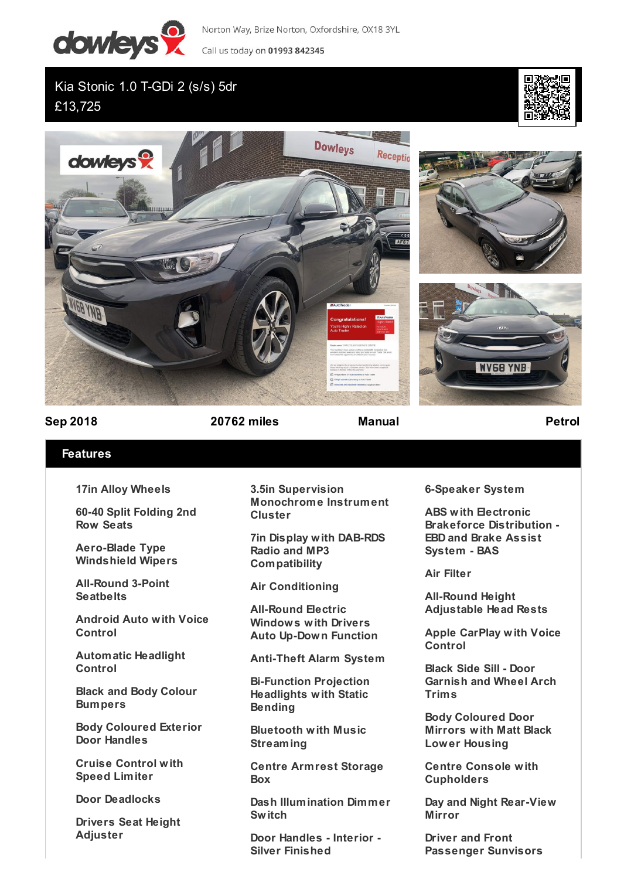

Norton Way, Brize Norton, Oxfordshire, OX18 3YL

Call us today on 01993 842345

Kia Stonic 1.0 T-GDi 2 (s/s) 5dr £13,725









**Sep 2018 20762 miles Manual Petrol**

## **Features**

**17in Alloy Wheels**

**60-40 Split Folding 2nd Row Seats**

**Aero-Blade Type Windshield Wipers**

**All-Round 3-Point Seatbelts**

**Android Auto with Voice Control**

**Automatic Headlight Control**

**Black and Body Colour Bumpers**

**Body Coloured Exterior Door Handles**

**Cruise Control with Speed Limiter**

**Door Deadlocks**

**Drivers Seat Height Adjuster**

**3.5in Supervision Monochrome Instrument Cluster**

**7in Display with DAB-RDS Radio and MP3 Compatibility**

**Air Conditioning**

**All-Round Electric Windows with Drivers Auto Up-Down Function**

**Anti-Theft Alarm System**

**Bi-Function Projection Headlights with Static Bending**

**Bluetooth with Music Streaming**

**Centre Armrest Storage Box**

**Dash Illumination Dimmer Switch**

**Door Handles - Interior - Silver Finished**

**6-Speaker System**

**ABS with Electronic Brakeforce Distribution - EBD and Brake Assist System - BAS**

**Air Filter**

**All-Round Height Adjustable Head Rests**

**Apple CarPlay with Voice Control**

**Black Side Sill - Door Garnish and Wheel Arch Trims**

**Body Coloured Door Mirrors with Matt Black Lower Housing**

**Centre Console with Cupholders**

**Day and Night Rear-View Mirror**

**Driver and Front Passenger Sunvisors**